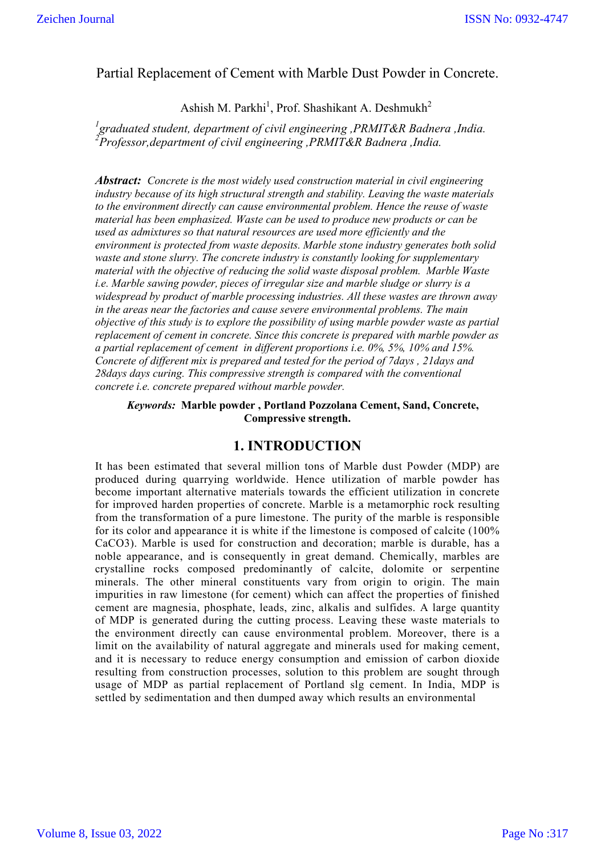## Partial Replacement of Cement with Marble Dust Powder in Concrete.

Ashish M. Parkhi<sup>1</sup>, Prof. Shashikant A. Deshmukh<sup>2</sup>

*1 graduated student, department of civil engineering ,PRMIT&R Badnera ,India. 2 Professor,department of civil engineering ,PRMIT&R Badnera ,India.*

*Abstract: Concrete is the most widely used construction material in civil engineering industry because of its high structural strength and stability. Leaving the waste materials to the environment directly can cause environmental problem. Hence the reuse of waste material has been emphasized. Waste can be used to produce new products or can be used as admixtures so that natural resources are used more efficiently and the environment is protected from waste deposits. Marble stone industry generates both solid waste and stone slurry. The concrete industry is constantly looking for supplementary material with the objective of reducing the solid waste disposal problem. Marble Waste i.e. Marble sawing powder, pieces of irregular size and marble sludge or slurry is a widespread by product of marble processing industries. All these wastes are thrown away in the areas near the factories and cause severe environmental problems. The main objective of this study is to explore the possibility of using marble powder waste as partial replacement of cement in concrete. Since this concrete is prepared with marble powder as a partial replacement of cement in different proportions i.e. 0%, 5%, 10% and 15%. Concrete of different mix is prepared and tested for the period of 7days , 21days and 28days days curing. This compressive strength is compared with the conventional concrete i.e. concrete prepared without marble powder.*

*Keywords:* **Marble powder , Portland Pozzolana Cement, Sand, Concrete, Compressive strength.**

### **1. INTRODUCTION**

It has been estimated that several million tons of Marble dust Powder (MDP) are produced during quarrying worldwide. Hence utilization of marble powder has become important alternative materials towards the efficient utilization in concrete for improved harden properties of concrete. Marble is a metamorphic rock resulting from the transformation of a pure limestone. The purity of the marble is responsible for its color and appearance it is white if the limestone is composed of calcite (100% CaCO3). Marble is used for construction and decoration; marble is durable, has a noble appearance, and is consequently in great demand. Chemically, marbles are crystalline rocks composed predominantly of calcite, dolomite or serpentine minerals. The other mineral constituents vary from origin to origin. The main impurities in raw limestone (for cement) which can affect the properties of finished cement are magnesia, phosphate, leads, zinc, alkalis and sulfides. A large quantity of MDP is generated during the cutting process. Leaving these waste materials to the environment directly can cause environmental problem. Moreover, there is a limit on the availability of natural aggregate and minerals used for making cement, and it is necessary to reduce energy consumption and emission of carbon dioxide resulting from construction processes, solution to this problem are sought through usage of MDP as partial replacement of Portland slg cement. In India, MDP is settled by sedimentation and then dumped away which results an environmental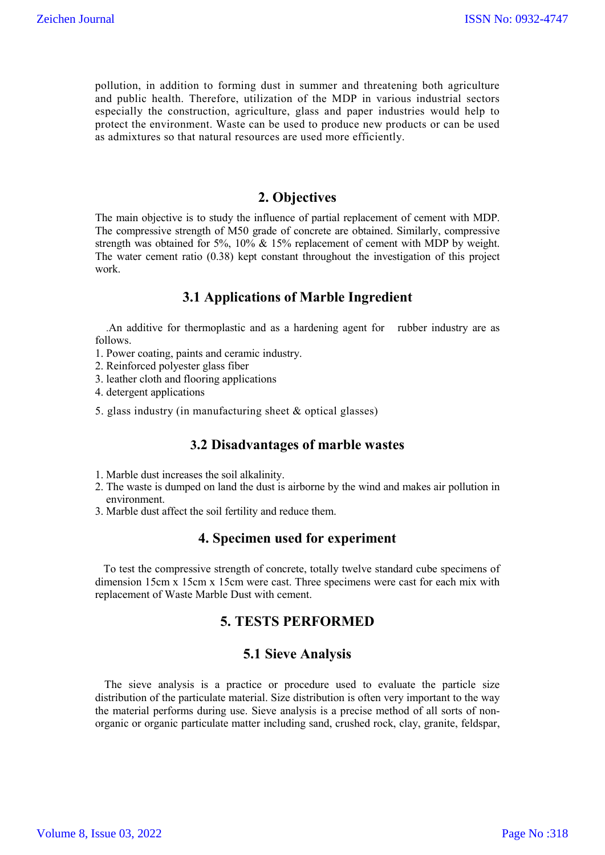pollution, in addition to forming dust in summer and threatening both agriculture and public health. Therefore, utilization of the MDP in various industrial sectors especially the construction, agriculture, glass and paper industries would help to protect the environment. Waste can be used to produce new products or can be used as admixtures so that natural resources are used more efficiently.

## **2. Objectives**

The main objective is to study the influence of partial replacement of cement with MDP. The compressive strength of M50 grade of concrete are obtained. Similarly, compressive strength was obtained for 5%, 10% & 15% replacement of cement with MDP by weight. The water cement ratio (0.38) kept constant throughout the investigation of this project work.

#### **3.1 Applications of Marble Ingredient**

.An additive for thermoplastic and as a hardening agent for rubber industry are as follows.

- 1. Power coating, paints and ceramic industry.
- 2. Reinforced polyester glass fiber
- 3. leather cloth and flooring applications
- 4. detergent applications
- 5. glass industry (in manufacturing sheet & optical glasses)

#### **3.2 Disadvantages of marble wastes**

- 1. Marble dust increases the soil alkalinity.
- 2. The waste is dumped on land the dust is airborne by the wind and makes air pollution in environment.
- 3. Marble dust affect the soil fertility and reduce them.

#### **4. Specimen used for experiment**

 To test the compressive strength of concrete, totally twelve standard cube specimens of dimension 15cm x 15cm x 15cm were cast. Three specimens were cast for each mix with replacement of Waste Marble Dust with cement.

## **5. TESTS PERFORMED**

#### **5.1 Sieve Analysis**

 The sieve analysis is a practice or procedure used to evaluate the particle size distribution of the particulate material. Size distribution is often very important to the way the material performs during use. Sieve analysis is a precise method of all sorts of nonorganic or organic particulate matter including sand, crushed rock, clay, granite, feldspar,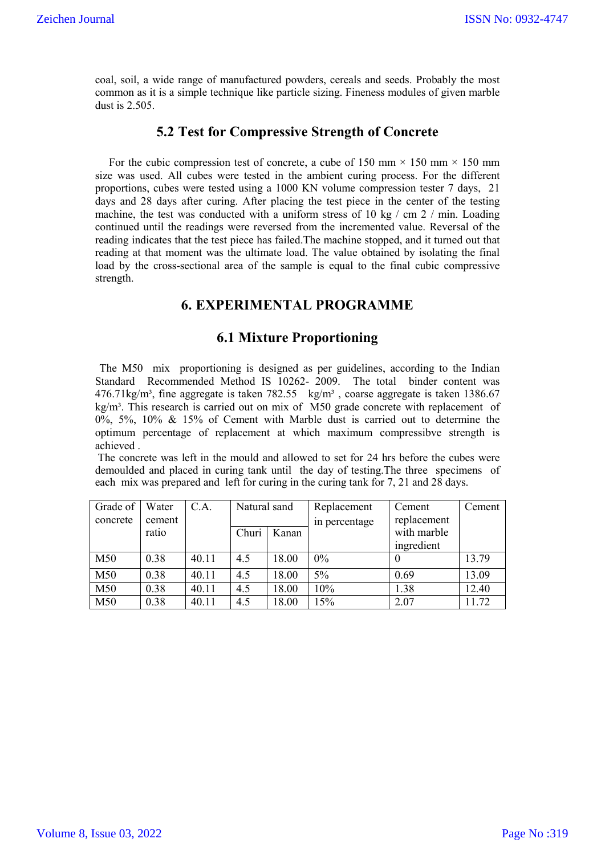coal, soil, a wide range of manufactured powders, cereals and seeds. Probably the most common as it is a simple technique like particle sizing. Fineness modules of given marble dust is 2.505.

## **5.2 Test for Compressive Strength of Concrete**

For the cubic compression test of concrete, a cube of 150 mm  $\times$  150 mm  $\times$  150 mm size was used. All cubes were tested in the ambient curing process. For the different proportions, cubes were tested using a 1000 KN volume compression tester 7 days, 21 days and 28 days after curing. After placing the test piece in the center of the testing machine, the test was conducted with a uniform stress of 10 kg / cm 2 / min. Loading continued until the readings were reversed from the incremented value. Reversal of the reading indicates that the test piece has failed.The machine stopped, and it turned out that reading at that moment was the ultimate load. The value obtained by isolating the final load by the cross-sectional area of the sample is equal to the final cubic compressive strength.

# **6. EXPERIMENTAL PROGRAMME**

## **6.1 Mixture Proportioning**

 The M50 mix proportioning is designed as per guidelines, according to the Indian Standard Recommended Method IS 10262- 2009. The total binder content was 476.71kg/m<sup>3</sup>, fine aggregate is taken 782.55 kg/m<sup>3</sup>, coarse aggregate is taken 1386.67  $kg/m<sup>3</sup>$ . This research is carried out on mix of M50 grade concrete with replacement of 0%, 5%, 10% & 15% of Cement with Marble dust is carried out to determine the optimum percentage of replacement at which maximum compressibve strength is achieved .

The concrete was left in the mould and allowed to set for 24 hrs before the cubes were demoulded and placed in curing tank until the day of testing.The three specimens of each mix was prepared and left for curing in the curing tank for 7, 21 and 28 days.

| Grade of | Water  | C.A.  | Natural sand |       | Replacement   | Cement      | Cement |
|----------|--------|-------|--------------|-------|---------------|-------------|--------|
| concrete | cement |       |              |       | in percentage | replacement |        |
|          | ratio  |       | Churi        | Kanan |               | with marble |        |
|          |        |       |              |       |               | ingredient  |        |
| M50      | 0.38   | 40.11 | 4.5          | 18.00 | $0\%$         |             | 13.79  |
| M50      | 0.38   | 40.11 | 4.5          | 18.00 | $5\%$         | 0.69        | 13.09  |
| M50      | 0.38   | 40.11 | 4.5          | 18.00 | 10%           | 1.38        | 12.40  |
| M50      | 0.38   | 40.11 | 4.5          | 18.00 | 15%           | 2.07        | 11.72  |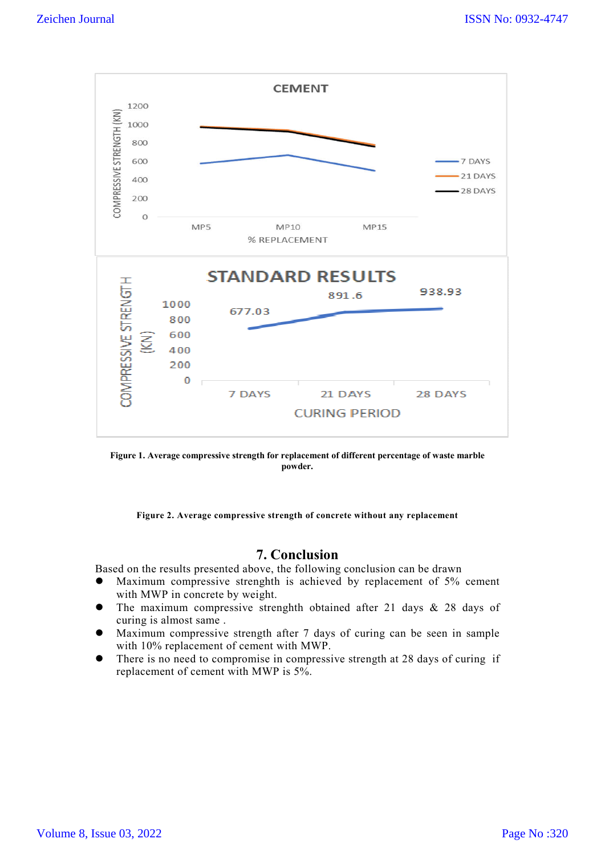

**Figure 1. Average compressive strength for replacement of different percentage of waste marble powder.**

**Figure 2. Average compressive strength of concrete without any replacement**

# **7. Conclusion**

Based on the results presented above, the following conclusion can be drawn

- Maximum compressive strenghth is achieved by replacement of 5% cement with MWP in concrete by weight.
- The maximum compressive strenghth obtained after 21 days & 28 days of curing is almost same .
- Maximum compressive strength after 7 days of curing can be seen in sample with 10% replacement of cement with MWP.
- There is no need to compromise in compressive strength at 28 days of curing if replacement of cement with MWP is 5%.